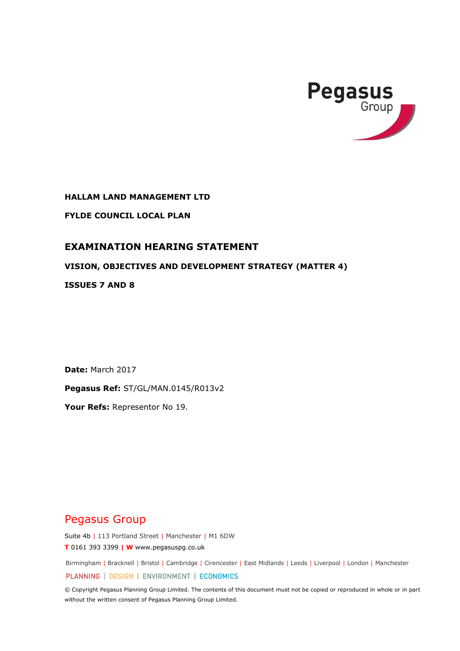

**HALLAM LAND MANAGEMENT LTD**

**FYLDE COUNCIL LOCAL PLAN**

# **EXAMINATION HEARING STATEMENT**

## **VISION, OBJECTIVES AND DEVELOPMENT STRATEGY (MATTER 4)**

**ISSUES 7 AND 8**

**Date:** March 2017

**Pegasus Ref:** ST/GL/MAN.0145/R013v2

**Your Refs:** Representor No 19.

# Pegasus Group

Suite 4b | 113 Portland Street | Manchester | M1 6DW **T** 0161 393 3399 **| W** www.pegasuspg.co.uk

Birmingham | Bracknell | Bristol | Cambridge | Cirencester | East Midlands | Leeds | Liverpool | London | Manchester

PLANNING | DESIGN | ENVIRONMENT | ECONOMICS

© Copyright Pegasus Planning Group Limited. The contents of this document must not be copied or reproduced in whole or in part without the written consent of Pegasus Planning Group Limited.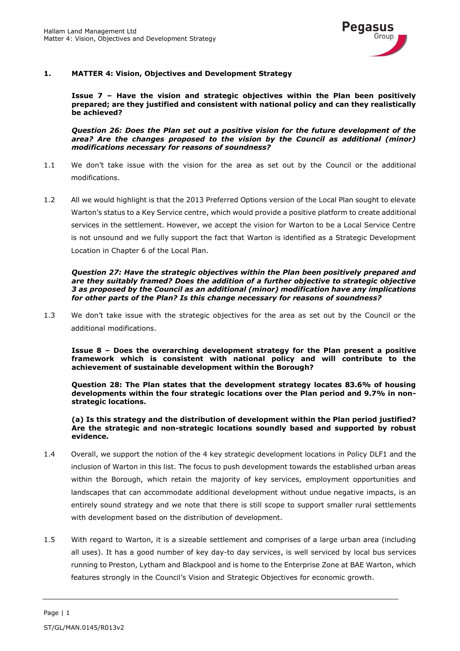

### **1. MATTER 4: Vision, Objectives and Development Strategy**

**Issue 7 – Have the vision and strategic objectives within the Plan been positively prepared; are they justified and consistent with national policy and can they realistically be achieved?** 

*Question 26: Does the Plan set out a positive vision for the future development of the area? Are the changes proposed to the vision by the Council as additional (minor) modifications necessary for reasons of soundness?*

- 1.1 We don't take issue with the vision for the area as set out by the Council or the additional modifications.
- 1.2 All we would highlight is that the 2013 Preferred Options version of the Local Plan sought to elevate Warton's status to a Key Service centre, which would provide a positive platform to create additional services in the settlement. However, we accept the vision for Warton to be a Local Service Centre is not unsound and we fully support the fact that Warton is identified as a Strategic Development Location in Chapter 6 of the Local Plan.

*Question 27: Have the strategic objectives within the Plan been positively prepared and are they suitably framed? Does the addition of a further objective to strategic objective 3 as proposed by the Council as an additional (minor) modification have any implications for other parts of the Plan? Is this change necessary for reasons of soundness?* 

1.3 We don't take issue with the strategic objectives for the area as set out by the Council or the additional modifications.

**Issue 8 – Does the overarching development strategy for the Plan present a positive framework which is consistent with national policy and will contribute to the achievement of sustainable development within the Borough?** 

**Question 28: The Plan states that the development strategy locates 83.6% of housing developments within the four strategic locations over the Plan period and 9.7% in nonstrategic locations.** 

**(a) Is this strategy and the distribution of development within the Plan period justified? Are the strategic and non-strategic locations soundly based and supported by robust evidence.**

- 1.4 Overall, we support the notion of the 4 key strategic development locations in Policy DLF1 and the inclusion of Warton in this list. The focus to push development towards the established urban areas within the Borough, which retain the majority of key services, employment opportunities and landscapes that can accommodate additional development without undue negative impacts, is an entirely sound strategy and we note that there is still scope to support smaller rural settlements with development based on the distribution of development.
- 1.5 With regard to Warton, it is a sizeable settlement and comprises of a large urban area (including all uses). It has a good number of key day-to day services, is well serviced by local bus services running to Preston, Lytham and Blackpool and is home to the Enterprise Zone at BAE Warton, which features strongly in the Council's Vision and Strategic Objectives for economic growth.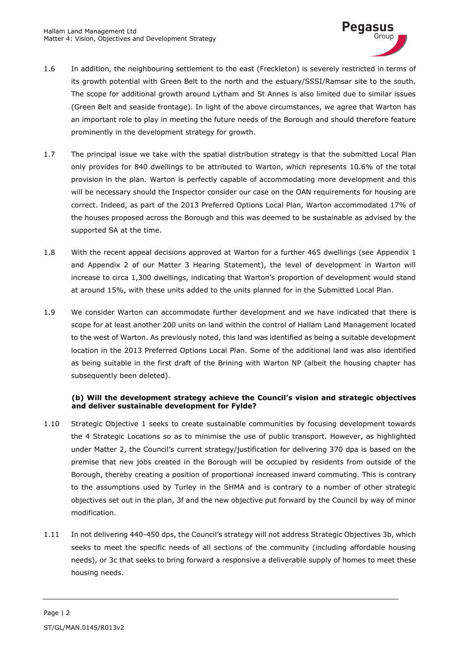

- 1.6 In addition, the neighbouring settlement to the east (Freckleton) is severely restricted in terms of its growth potential with Green Belt to the north and the estuary/SSSI/Ramsar site to the south. The scope for additional growth around Lytham and St Annes is also limited due to similar issues (Green Belt and seaside frontage). In light of the above circumstances, we agree that Warton has an important role to play in meeting the future needs of the Borough and should therefore feature prominently in the development strategy for growth.
- 1.7 The principal issue we take with the spatial distribution strategy is that the submitted Local Plan only provides for 840 dwellings to be attributed to Warton, which represents 10.6% of the total provision in the plan. Warton is perfectly capable of accommodating more development and this will be necessary should the Inspector consider our case on the OAN requirements for housing are correct. Indeed, as part of the 2013 Preferred Options Local Plan, Warton accommodated 17% of the houses proposed across the Borough and this was deemed to be sustainable as advised by the supported SA at the time.
- 1.8 With the recent appeal decisions approved at Warton for a further 465 dwellings (see Appendix 1 and Appendix 2 of our Matter 3 Hearing Statement), the level of development in Warton will increase to circa 1,300 dwellings, indicating that Warton's proportion of development would stand at around 15%, with these units added to the units planned for in the Submitted Local Plan.
- 1.9 We consider Warton can accommodate further development and we have indicated that there is scope for at least another 200 units on land within the control of Hallam Land Management located to the west of Warton. As previously noted, this land was identified as being a suitable development location in the 2013 Preferred Options Local Plan. Some of the additional land was also identified as being suitable in the first draft of the Brining with Warton NP (albeit the housing chapter has subsequently been deleted).

#### **(b) Will the development strategy achieve the Council's vision and strategic objectives and deliver sustainable development for Fylde?**

- 1.10 Strategic Objective 1 seeks to create sustainable communities by focusing development towards the 4 Strategic Locations so as to minimise the use of public transport. However, as highlighted under Matter 2, the Council's current strategy/justification for delivering 370 dpa is based on the premise that new jobs created in the Borough will be occupied by residents from outside of the Borough, thereby creating a position of proportional increased inward commuting. This is contrary to the assumptions used by Turley in the SHMA and is contrary to a number of other strategic objectives set out in the plan, 3f and the new objective put forward by the Council by way of minor modification.
- 1.11 In not delivering 440-450 dps, the Council's strategy will not address Strategic Objectives 3b, which seeks to meet the specific needs of all sections of the community (including affordable housing needs), or 3c that seeks to bring forward a responsive a deliverable supply of homes to meet these housing needs.